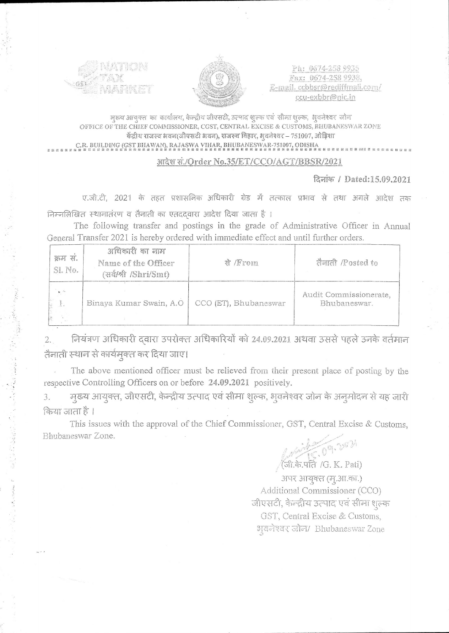



Ph: 0674-258 9935 Fax: 0674-258 9938, E-mail.ccbbsr@rediffmail.com/ ccu-exbbr@nic.in

## मुख्य आयुक्त का कार्यालय, केन्द्रीय जीएसटी, उत्पाद शुल्क एवं सीमा शुल्क, भूवनेश्वर जोन OFFICE OF THE CHIEF COMMISSIONER, CGST, CENTRAL EXCISE & CUSTOMS, BHUBANESWAR ZONE केंद्रीय राजस्व भवन(जीएसटी भवन), राजस्व विहार, भवनेश्वर – 751007, ओड़िशा C.R. BUILDING (GST BHAWAN), RAJASWA VIHAR, BHUBANESWAR-751007, ODISHA

## आदेश सं./Order No.35/ET/CCO/AGT/BBSR/2021

## दिनांक / Dated:15.09.2021

ए.जी.टी, 2021 के तहत प्रशासनिक अधिकारी ग्रेड में तत्काल प्रभाव से तथा अगले आदेश तक निम्नलिखित स्थानातंरण व तैनाती का एतददवारा आदेश दिया जाता है।

The following transfer and postings in the grade of Administrative Officer in Annual General Transfer 2021 is hereby ordered with immediate effect and until further orders.

| क्रम स.<br>SI. No. | अधिकारी का नाम<br>Name of the Officer<br>(सर्व/श्री /Shri/Smt) | से /From              | तैनाती /Posted to                      |
|--------------------|----------------------------------------------------------------|-----------------------|----------------------------------------|
|                    | Binaya Kumar Swain, A.O                                        | CCO (ET), Bhubaneswar | Audit Commissionerate,<br>Bhubaneswar. |

नियंत्रण अधिकारी दवारा उपरोक्त अधिकारियों को 24.09.2021 अथवा उससे पहले उनके वर्तमान  $2.$ तैनाती स्थान से कार्यमुक्त कर दिया जाए।

The above mentioned officer must be relieved from their present place of posting by the respective Controlling Officers on or before 24.09.2021 positively.

मुख्य आयुक्त, जीएसटी, केन्द्रीय उत्पाद एवं सीमा शुल्क, भुवनेश्वर जोन के अनुमोदन से यह जारी 3. किया जाता है ।

This issues with the approval of the Chief Commissioner, GST, Central Excise & Customs, Bhubaneswar Zone.

350 M जी.के.पति /G. K. Pati)

अपर आयुक्त (मृ.आ.का.) Additional Commissioner (CCO) जीएसटी, केन्द्रीय उत्पाद एवं सीमा शुल्क GST, Central Excise & Customs, भूवनेश्वर जोन/ Bhubaneswar Zone